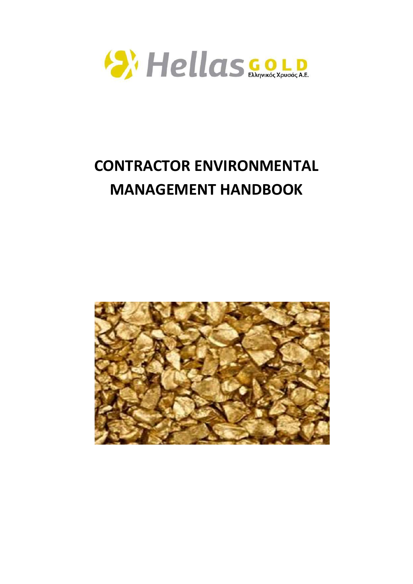

# **CONTRACTOR ENVIRONMENTAL MANAGEMENT HANDBOOK**

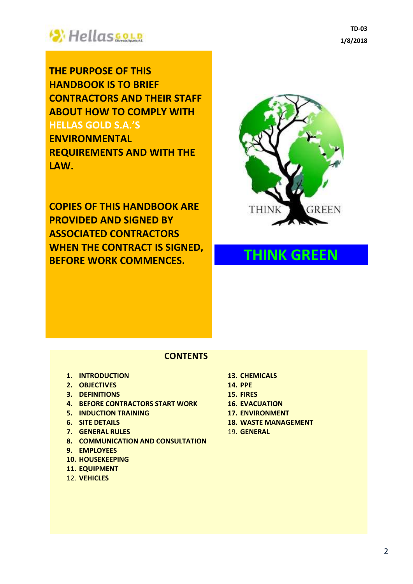

**THE PURPOSE OF THIS HANDBOOK IS TO BRIEF CONTRACTORS AND THEIR STAFF ABOUT HOW TO COMPLY WITH HELLAS GOLD S.A.'S**

**ENVIRONMENTAL REQUIREMENTS AND WITH THE LAW.**

**COPIES OF THIS HANDBOOK ARE PROVIDED AND SIGNED BY ASSOCIATED CONTRACTORS WHEN THE CONTRACT IS SIGNED, BEFORE WORK COMMENCES. THINK GREEN** 



### **CONTENTS**

- **1. INTRODUCTION**
- **2. OBJECTIVES**
- **3. DEFINITIONS**
- **4. BEFORE CONTRACTORS START WORK**
- **5. INDUCTION TRAINING**
- **6. SITE DETAILS**
- **7. GENERAL RULES**
- **8. COMMUNICATION AND CONSULTATION**
- **9. EMPLOYEES**
- **10. HOUSEKEEPING**
- **11. EQUIPMENT**
- 12. **VEHICLES**
- **13. CHEMICALS**
- **14. PPE**
- **15. FIRES**
- **16. EVACUATION**
- **17. ENVIRONMENT**
- **18. WASTE MANAGEMENT**
- 19. **GENERAL**

**TD-03 1/8/2018**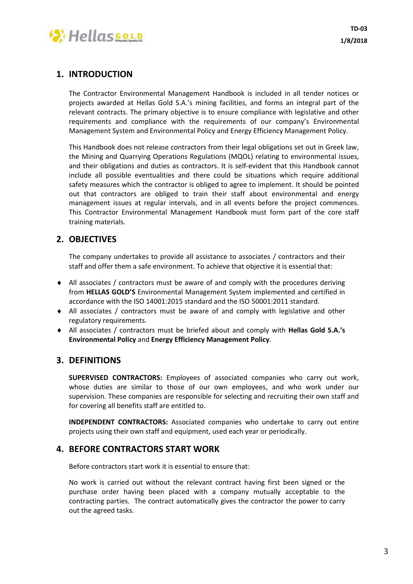

# **1. INTRODUCTION**

The Contractor Environmental Management Handbook is included in all tender notices or projects awarded at Hellas Gold S.A.'s mining facilities, and forms an integral part of the relevant contracts. The primary objective is to ensure compliance with legislative and other requirements and compliance with the requirements of our company's Environmental Management System and Environmental Policy and Energy Efficiency Management Policy.

This Handbook does not release contractors from their legal obligations set out in Greek law, the Mining and Quarrying Operations Regulations (MQOL) relating to environmental issues, and their obligations and duties as contractors. It is self-evident that this Handbook cannot include all possible eventualities and there could be situations which require additional safety measures which the contractor is obliged to agree to implement. It should be pointed out that contractors are obliged to train their staff about environmental and energy management issues at regular intervals, and in all events before the project commences. This Contractor Environmental Management Handbook must form part of the core staff training materials.

# **2. OBJECTIVES**

The company undertakes to provide all assistance to associates / contractors and their staff and offer them a safe environment. To achieve that objective it is essential that:

- All associates / contractors must be aware of and comply with the procedures deriving from **HELLAS GOLD'S** Environmental Management System implemented and certified in accordance with the ISO 14001:2015 standard and the ISO 50001:2011 standard.
- All associates / contractors must be aware of and comply with legislative and other regulatory requirements.
- All associates / contractors must be briefed about and comply with **Hellas Gold S.A.'s Environmental Policy** and **Energy Efficiency Management Policy**.

#### **3. DEFINITIONS**

**SUPERVISED CONTRACTORS:** Employees of associated companies who carry out work, whose duties are similar to those of our own employees, and who work under our supervision. These companies are responsible for selecting and recruiting their own staff and for covering all benefits staff are entitled to.

**INDEPENDENT CONTRACTORS:** Associated companies who undertake to carry out entire projects using their own staff and equipment, used each year or periodically.

#### **4. BEFORE CONTRACTORS START WORK**

Before contractors start work it is essential to ensure that:

No work is carried out without the relevant contract having first been signed or the purchase order having been placed with a company mutually acceptable to the contracting parties. The contract automatically gives the contractor the power to carry out the agreed tasks.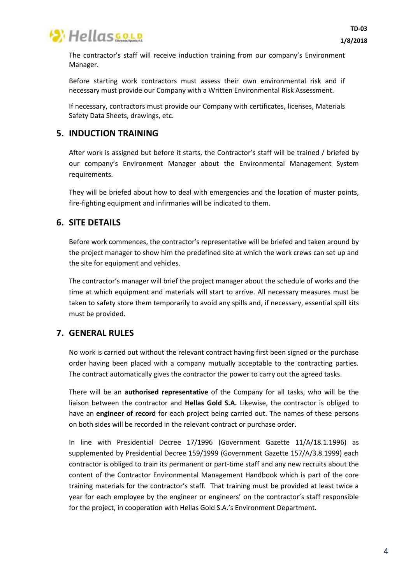

The contractor's staff will receive induction training from our company's Environment Manager.

Before starting work contractors must assess their own environmental risk and if necessary must provide our Company with a Written Environmental Risk Assessment.

If necessary, contractors must provide our Company with certificates, licenses, Materials Safety Data Sheets, drawings, etc.

### **5. INDUCTION TRAINING**

After work is assigned but before it starts, the Contractor's staff will be trained / briefed by our company's Environment Manager about the Environmental Management System requirements.

They will be briefed about how to deal with emergencies and the location of muster points, fire-fighting equipment and infirmaries will be indicated to them.

#### **6. SITE DETAILS**

Before work commences, the contractor's representative will be briefed and taken around by the project manager to show him the predefined site at which the work crews can set up and the site for equipment and vehicles.

The contractor's manager will brief the project manager about the schedule of works and the time at which equipment and materials will start to arrive. All necessary measures must be taken to safety store them temporarily to avoid any spills and, if necessary, essential spill kits must be provided.

# **7. GENERAL RULES**

No work is carried out without the relevant contract having first been signed or the purchase order having been placed with a company mutually acceptable to the contracting parties. The contract automatically gives the contractor the power to carry out the agreed tasks.

There will be an **authorised representative** of the Company for all tasks, who will be the liaison between the contractor and **Hellas Gold S.A.** Likewise, the contractor is obliged to have an **engineer of record** for each project being carried out. The names of these persons on both sides will be recorded in the relevant contract or purchase order.

In line with Presidential Decree 17/1996 (Government Gazette 11/A/18.1.1996) as supplemented by Presidential Decree 159/1999 (Government Gazette 157/A/3.8.1999) each contractor is obliged to train its permanent or part-time staff and any new recruits about the content of the Contractor Environmental Management Handbook which is part of the core training materials for the contractor's staff. That training must be provided at least twice a year for each employee by the engineer or engineers' on the contractor's staff responsible for the project, in cooperation with Hellas Gold S.A.'s Environment Department.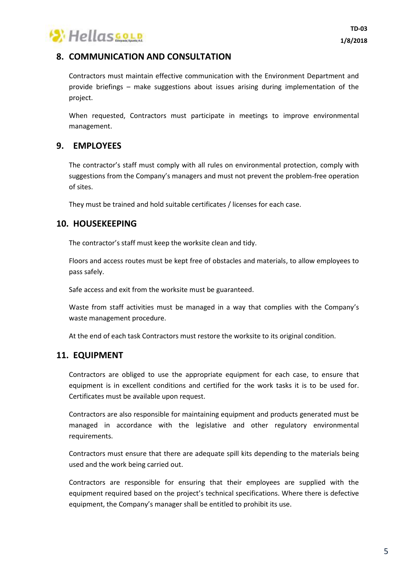

# **8. COMMUNICATION AND CONSULTATION**

Contractors must maintain effective communication with the Environment Department and provide briefings – make suggestions about issues arising during implementation of the project.

When requested, Contractors must participate in meetings to improve environmental management.

### **9. EMPLOYEES**

The contractor's staff must comply with all rules on environmental protection, comply with suggestions from the Company's managers and must not prevent the problem-free operation of sites.

They must be trained and hold suitable certificates / licenses for each case.

### **10. HOUSEKEEPING**

The contractor's staff must keep the worksite clean and tidy.

Floors and access routes must be kept free of obstacles and materials, to allow employees to pass safely.

Safe access and exit from the worksite must be guaranteed.

Waste from staff activities must be managed in a way that complies with the Company's waste management procedure.

At the end of each task Contractors must restore the worksite to its original condition.

#### **11. EQUIPMENT**

Contractors are obliged to use the appropriate equipment for each case, to ensure that equipment is in excellent conditions and certified for the work tasks it is to be used for. Certificates must be available upon request.

Contractors are also responsible for maintaining equipment and products generated must be managed in accordance with the legislative and other regulatory environmental requirements.

Contractors must ensure that there are adequate spill kits depending to the materials being used and the work being carried out.

Contractors are responsible for ensuring that their employees are supplied with the equipment required based on the project's technical specifications. Where there is defective equipment, the Company's manager shall be entitled to prohibit its use.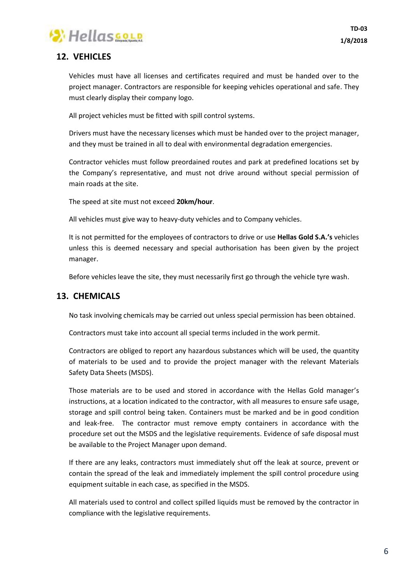

# **12. VEHICLES**

Vehicles must have all licenses and certificates required and must be handed over to the project manager. Contractors are responsible for keeping vehicles operational and safe. They must clearly display their company logo.

All project vehicles must be fitted with spill control systems.

Drivers must have the necessary licenses which must be handed over to the project manager, and they must be trained in all to deal with environmental degradation emergencies.

Contractor vehicles must follow preordained routes and park at predefined locations set by the Company's representative, and must not drive around without special permission of main roads at the site.

The speed at site must not exceed **20km/hour**.

All vehicles must give way to heavy-duty vehicles and to Company vehicles.

It is not permitted for the employees of contractors to drive or use **Hellas Gold S.A.'s** vehicles unless this is deemed necessary and special authorisation has been given by the project manager.

Before vehicles leave the site, they must necessarily first go through the vehicle tyre wash.

#### **13. CHEMICALS**

No task involving chemicals may be carried out unless special permission has been obtained.

Contractors must take into account all special terms included in the work permit.

Contractors are obliged to report any hazardous substances which will be used, the quantity of materials to be used and to provide the project manager with the relevant Materials Safety Data Sheets (MSDS).

Those materials are to be used and stored in accordance with the Hellas Gold manager's instructions, at a location indicated to the contractor, with all measures to ensure safe usage, storage and spill control being taken. Containers must be marked and be in good condition and leak-free. The contractor must remove empty containers in accordance with the procedure set out the MSDS and the legislative requirements. Evidence of safe disposal must be available to the Project Manager upon demand.

If there are any leaks, contractors must immediately shut off the leak at source, prevent or contain the spread of the leak and immediately implement the spill control procedure using equipment suitable in each case, as specified in the MSDS.

All materials used to control and collect spilled liquids must be removed by the contractor in compliance with the legislative requirements.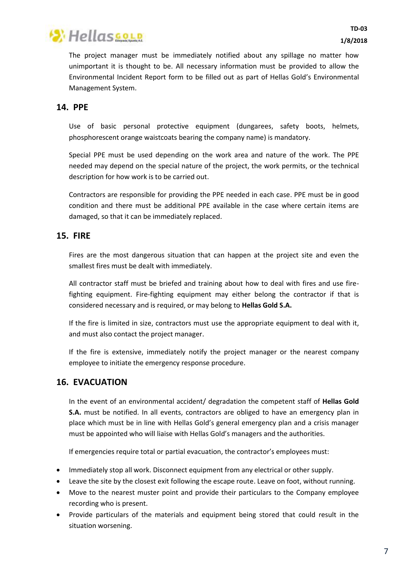

The project manager must be immediately notified about any spillage no matter how unimportant it is thought to be. All necessary information must be provided to allow the Environmental Incident Report form to be filled out as part of Hellas Gold's Environmental Management System.

#### **14. PPE**

Use of basic personal protective equipment (dungarees, safety boots, helmets, phosphorescent orange waistcoats bearing the company name) is mandatory.

Special PPE must be used depending on the work area and nature of the work. The PPE needed may depend on the special nature of the project, the work permits, or the technical description for how work is to be carried out.

Contractors are responsible for providing the PPE needed in each case. PPE must be in good condition and there must be additional PPE available in the case where certain items are damaged, so that it can be immediately replaced.

### **15. FIRE**

Fires are the most dangerous situation that can happen at the project site and even the smallest fires must be dealt with immediately.

All contractor staff must be briefed and training about how to deal with fires and use firefighting equipment. Fire-fighting equipment may either belong the contractor if that is considered necessary and is required, or may belong to **Hellas Gold S.A.**

If the fire is limited in size, contractors must use the appropriate equipment to deal with it, and must also contact the project manager.

If the fire is extensive, immediately notify the project manager or the nearest company employee to initiate the emergency response procedure.

# **16. EVACUATION**

In the event of an environmental accident/ degradation the competent staff of **Hellas Gold S.A.** must be notified. In all events, contractors are obliged to have an emergency plan in place which must be in line with Hellas Gold's general emergency plan and a crisis manager must be appointed who will liaise with Hellas Gold's managers and the authorities.

If emergencies require total or partial evacuation, the contractor's employees must:

- Immediately stop all work. Disconnect equipment from any electrical or other supply.
- Leave the site by the closest exit following the escape route. Leave on foot, without running.
- Move to the nearest muster point and provide their particulars to the Company employee recording who is present.
- Provide particulars of the materials and equipment being stored that could result in the situation worsening.